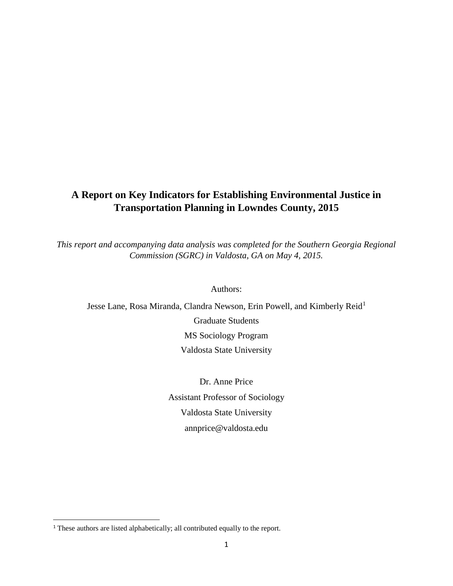# **A Report on Key Indicators for Establishing Environmental Justice in Transportation Planning in Lowndes County, 2015**

*This report and accompanying data analysis was completed for the Southern Georgia Regional Commission (SGRC) in Valdosta, GA on May 4, 2015.* 

Authors:

Jesse Lane, Rosa Miranda, Clandra Newson, Erin Powell, and Kimberly Reid<sup>1</sup> Graduate Students MS Sociology Program Valdosta State University

> Dr. Anne Price Assistant Professor of Sociology Valdosta State University annprice@valdosta.edu

 $\overline{\phantom{a}}$ 

<sup>&</sup>lt;sup>1</sup> These authors are listed alphabetically; all contributed equally to the report.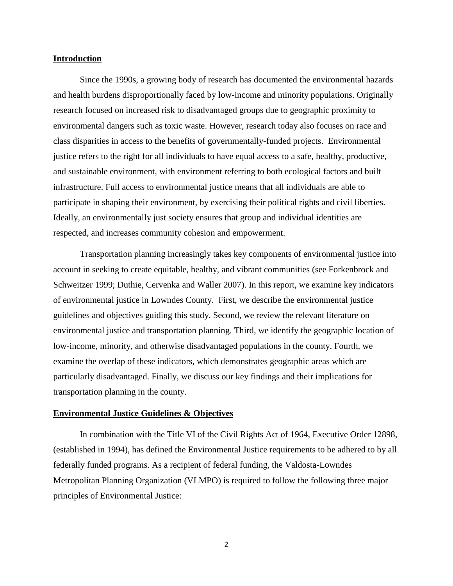#### **Introduction**

Since the 1990s, a growing body of research has documented the environmental hazards and health burdens disproportionally faced by low-income and minority populations. Originally research focused on increased risk to disadvantaged groups due to geographic proximity to environmental dangers such as toxic waste. However, research today also focuses on race and class disparities in access to the benefits of governmentally-funded projects. Environmental justice refers to the right for all individuals to have equal access to a safe, healthy, productive, and sustainable environment, with environment referring to both ecological factors and built infrastructure. Full access to environmental justice means that all individuals are able to participate in shaping their environment, by exercising their political rights and civil liberties. Ideally, an environmentally just society ensures that group and individual identities are respected, and increases community cohesion and empowerment.

Transportation planning increasingly takes key components of environmental justice into account in seeking to create equitable, healthy, and vibrant communities (see Forkenbrock and Schweitzer 1999; Duthie, Cervenka and Waller 2007). In this report, we examine key indicators of environmental justice in Lowndes County. First, we describe the environmental justice guidelines and objectives guiding this study. Second, we review the relevant literature on environmental justice and transportation planning. Third, we identify the geographic location of low-income, minority, and otherwise disadvantaged populations in the county. Fourth, we examine the overlap of these indicators, which demonstrates geographic areas which are particularly disadvantaged. Finally, we discuss our key findings and their implications for transportation planning in the county.

### **Environmental Justice Guidelines & Objectives**

In combination with the Title VI of the Civil Rights Act of 1964, Executive Order 12898, (established in 1994), has defined the Environmental Justice requirements to be adhered to by all federally funded programs. As a recipient of federal funding, the Valdosta-Lowndes Metropolitan Planning Organization (VLMPO) is required to follow the following three major principles of Environmental Justice: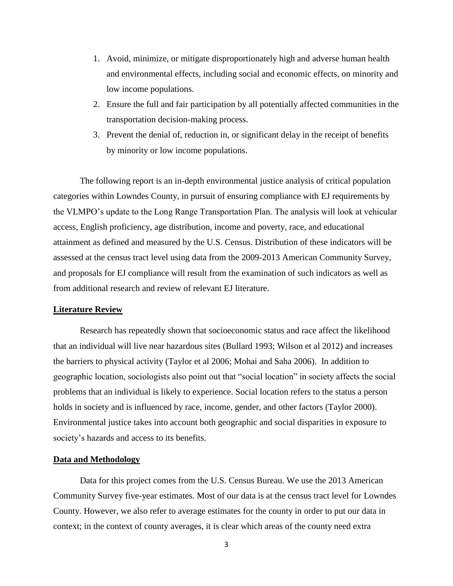- 1. Avoid, minimize, or mitigate disproportionately high and adverse human health and environmental effects, including social and economic effects, on minority and low income populations.
- 2. Ensure the full and fair participation by all potentially affected communities in the transportation decision-making process.
- 3. Prevent the denial of, reduction in, or significant delay in the receipt of benefits by minority or low income populations.

The following report is an in-depth environmental justice analysis of critical population categories within Lowndes County, in pursuit of ensuring compliance with EJ requirements by the VLMPO's update to the Long Range Transportation Plan. The analysis will look at vehicular access, English proficiency, age distribution, income and poverty, race, and educational attainment as defined and measured by the U.S. Census. Distribution of these indicators will be assessed at the census tract level using data from the 2009-2013 American Community Survey, and proposals for EJ compliance will result from the examination of such indicators as well as from additional research and review of relevant EJ literature.

### **Literature Review**

Research has repeatedly shown that socioeconomic status and race affect the likelihood that an individual will live near hazardous sites (Bullard 1993; Wilson et al 2012) and increases the barriers to physical activity (Taylor et al 2006; Mohai and Saha 2006). In addition to geographic location, sociologists also point out that "social location" in society affects the social problems that an individual is likely to experience. Social location refers to the status a person holds in society and is influenced by race, income, gender, and other factors (Taylor 2000). Environmental justice takes into account both geographic and social disparities in exposure to society's hazards and access to its benefits.

### **Data and Methodology**

Data for this project comes from the U.S. Census Bureau. We use the 2013 American Community Survey five-year estimates. Most of our data is at the census tract level for Lowndes County. However, we also refer to average estimates for the county in order to put our data in context; in the context of county averages, it is clear which areas of the county need extra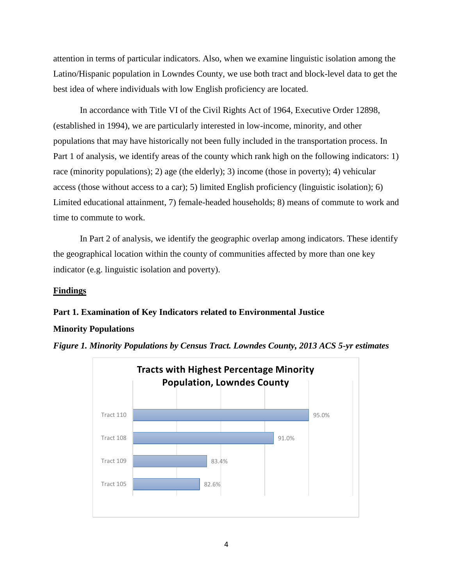attention in terms of particular indicators. Also, when we examine linguistic isolation among the Latino/Hispanic population in Lowndes County, we use both tract and block-level data to get the best idea of where individuals with low English proficiency are located.

In accordance with Title VI of the Civil Rights Act of 1964, Executive Order 12898, (established in 1994), we are particularly interested in low-income, minority, and other populations that may have historically not been fully included in the transportation process. In Part 1 of analysis, we identify areas of the county which rank high on the following indicators: 1) race (minority populations); 2) age (the elderly); 3) income (those in poverty); 4) vehicular access (those without access to a car); 5) limited English proficiency (linguistic isolation); 6) Limited educational attainment, 7) female-headed households; 8) means of commute to work and time to commute to work.

In Part 2 of analysis, we identify the geographic overlap among indicators. These identify the geographical location within the county of communities affected by more than one key indicator (e.g. linguistic isolation and poverty).

### **Findings**

### **Part 1. Examination of Key Indicators related to Environmental Justice**

### **Minority Populations**



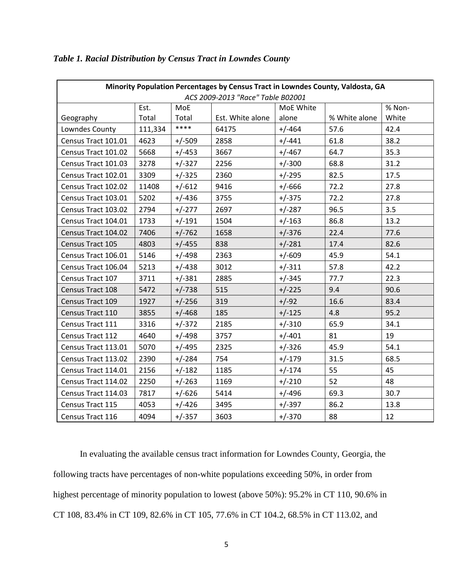| Minority Population Percentages by Census Tract in Lowndes County, Valdosta, GA |         |          |                  |           |               |        |
|---------------------------------------------------------------------------------|---------|----------|------------------|-----------|---------------|--------|
| ACS 2009-2013 "Race" Table B02001                                               |         |          |                  |           |               |        |
|                                                                                 | Est.    | MoE      |                  | MoE White |               | % Non- |
| Geography                                                                       | Total   | Total    | Est. White alone | alone     | % White alone | White  |
| Lowndes County                                                                  | 111,334 | ****     | 64175            | $+/-464$  | 57.6          | 42.4   |
| Census Tract 101.01                                                             | 4623    | $+/-509$ | 2858             | $+/-441$  | 61.8          | 38.2   |
| Census Tract 101.02                                                             | 5668    | $+/-453$ | 3667             | $+/-467$  | 64.7          | 35.3   |
| Census Tract 101.03                                                             | 3278    | $+/-327$ | 2256             | $+/-300$  | 68.8          | 31.2   |
| Census Tract 102.01                                                             | 3309    | $+/-325$ | 2360             | $+/-295$  | 82.5          | 17.5   |
| Census Tract 102.02                                                             | 11408   | $+/-612$ | 9416             | $+/-666$  | 72.2          | 27.8   |
| Census Tract 103.01                                                             | 5202    | $+/-436$ | 3755             | $+/-375$  | 72.2          | 27.8   |
| Census Tract 103.02                                                             | 2794    | $+/-277$ | 2697             | $+/-287$  | 96.5          | 3.5    |
| Census Tract 104.01                                                             | 1733    | $+/-191$ | 1504             | $+/-163$  | 86.8          | 13.2   |
| Census Tract 104.02                                                             | 7406    | $+/-762$ | 1658             | $+/-376$  | 22.4          | 77.6   |
| Census Tract 105                                                                | 4803    | $+/-455$ | 838              | $+/-281$  | 17.4          | 82.6   |
| Census Tract 106.01                                                             | 5146    | $+/-498$ | 2363             | $+/-609$  | 45.9          | 54.1   |
| Census Tract 106.04                                                             | 5213    | $+/-438$ | 3012             | $+/-311$  | 57.8          | 42.2   |
| Census Tract 107                                                                | 3711    | $+/-381$ | 2885             | $+/-345$  | 77.7          | 22.3   |
| Census Tract 108                                                                | 5472    | $+/-738$ | 515              | $+/-225$  | 9.4           | 90.6   |
| Census Tract 109                                                                | 1927    | $+/-256$ | 319              | $+/-92$   | 16.6          | 83.4   |
| Census Tract 110                                                                | 3855    | $+/-468$ | 185              | $+/-125$  | 4.8           | 95.2   |
| Census Tract 111                                                                | 3316    | $+/-372$ | 2185             | $+/-310$  | 65.9          | 34.1   |
| Census Tract 112                                                                | 4640    | $+/-498$ | 3757             | $+/-401$  | 81            | 19     |
| Census Tract 113.01                                                             | 5070    | $+/-495$ | 2325             | $+/-326$  | 45.9          | 54.1   |
| Census Tract 113.02                                                             | 2390    | $+/-284$ | 754              | $+/-179$  | 31.5          | 68.5   |
| Census Tract 114.01                                                             | 2156    | $+/-182$ | 1185             | $+/-174$  | 55            | 45     |
| Census Tract 114.02                                                             | 2250    | $+/-263$ | 1169             | $+/-210$  | 52            | 48     |
| Census Tract 114.03                                                             | 7817    | $+/-626$ | 5414             | $+/-496$  | 69.3          | 30.7   |
| Census Tract 115                                                                | 4053    | $+/-426$ | 3495             | $+/-397$  | 86.2          | 13.8   |
| Census Tract 116                                                                | 4094    | $+/-357$ | 3603             | $+/-370$  | 88            | 12     |

# *Table 1. Racial Distribution by Census Tract in Lowndes County*

In evaluating the available census tract information for Lowndes County, Georgia, the following tracts have percentages of non-white populations exceeding 50%, in order from highest percentage of minority population to lowest (above 50%): 95.2% in CT 110, 90.6% in CT 108, 83.4% in CT 109, 82.6% in CT 105, 77.6% in CT 104.2, 68.5% in CT 113.02, and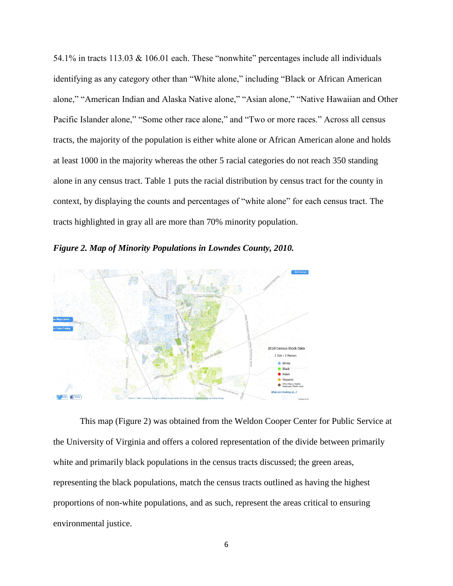54.1% in tracts 113.03 & 106.01 each. These "nonwhite" percentages include all individuals identifying as any category other than "White alone," including "Black or African American alone," "American Indian and Alaska Native alone," "Asian alone," "Native Hawaiian and Other Pacific Islander alone," "Some other race alone," and "Two or more races." Across all census tracts, the majority of the population is either white alone or African American alone and holds at least 1000 in the majority whereas the other 5 racial categories do not reach 350 standing alone in any census tract. Table 1 puts the racial distribution by census tract for the county in context, by displaying the counts and percentages of "white alone" for each census tract. The tracts highlighted in gray all are more than 70% minority population.





This map (Figure 2) was obtained from the Weldon Cooper Center for Public Service at the University of Virginia and offers a colored representation of the divide between primarily white and primarily black populations in the census tracts discussed; the green areas, representing the black populations, match the census tracts outlined as having the highest proportions of non-white populations, and as such, represent the areas critical to ensuring environmental justice.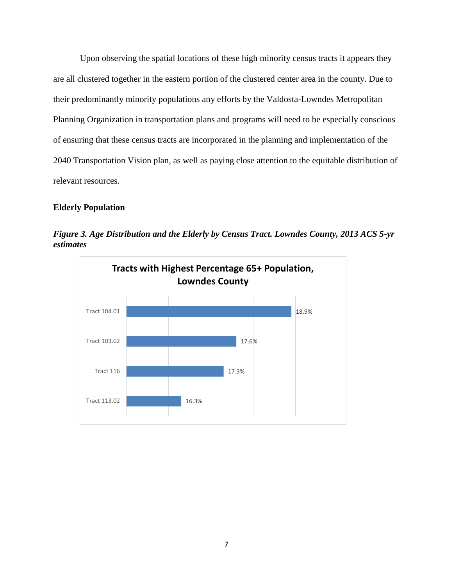Upon observing the spatial locations of these high minority census tracts it appears they are all clustered together in the eastern portion of the clustered center area in the county. Due to their predominantly minority populations any efforts by the Valdosta-Lowndes Metropolitan Planning Organization in transportation plans and programs will need to be especially conscious of ensuring that these census tracts are incorporated in the planning and implementation of the 2040 Transportation Vision plan, as well as paying close attention to the equitable distribution of relevant resources.

# **Elderly Population**



*Figure 3. Age Distribution and the Elderly by Census Tract. Lowndes County, 2013 ACS 5-yr estimates*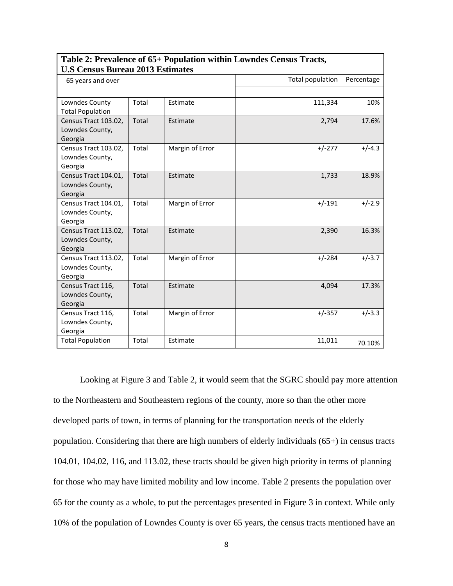| <b>U.S Census Bureau 2013 Estimates</b> |       |                 |                  |            |  |
|-----------------------------------------|-------|-----------------|------------------|------------|--|
| 65 years and over                       |       |                 | Total population | Percentage |  |
|                                         |       |                 |                  |            |  |
| Lowndes County                          | Total | Estimate        | 111,334          | 10%        |  |
| <b>Total Population</b>                 |       |                 |                  |            |  |
| Census Tract 103.02,                    | Total | Estimate        | 2,794            | 17.6%      |  |
| Lowndes County,                         |       |                 |                  |            |  |
| Georgia                                 |       |                 |                  |            |  |
| Census Tract 103.02,                    | Total | Margin of Error | $+/-277$         | $+/-4.3$   |  |
| Lowndes County,                         |       |                 |                  |            |  |
| Georgia                                 |       |                 |                  |            |  |
| Census Tract 104.01,                    | Total | Estimate        | 1,733            | 18.9%      |  |
| Lowndes County,                         |       |                 |                  |            |  |
| Georgia                                 |       |                 |                  |            |  |
| Census Tract 104.01,                    | Total | Margin of Error | $+/-191$         | $+/-2.9$   |  |
| Lowndes County,                         |       |                 |                  |            |  |
| Georgia                                 |       |                 |                  |            |  |
| Census Tract 113.02,                    | Total | Estimate        | 2,390            | 16.3%      |  |
| Lowndes County,                         |       |                 |                  |            |  |
| Georgia                                 |       |                 |                  |            |  |
| Census Tract 113.02,                    | Total | Margin of Error | $+/-284$         | $+/-3.7$   |  |
| Lowndes County,                         |       |                 |                  |            |  |
| Georgia                                 |       |                 |                  |            |  |
| Census Tract 116,                       | Total | Estimate        | 4,094            | 17.3%      |  |
| Lowndes County,                         |       |                 |                  |            |  |
| Georgia                                 |       |                 |                  |            |  |
| Census Tract 116,                       | Total | Margin of Error | $+/-357$         | $+/-3.3$   |  |
| Lowndes County,                         |       |                 |                  |            |  |
| Georgia                                 |       |                 |                  |            |  |
| <b>Total Population</b>                 | Total | Estimate        | 11,011           | 70.10%     |  |

# **Table 2: Prevalence of 65+ Population within Lowndes Census Tracts,**

Looking at Figure 3 and Table 2, it would seem that the SGRC should pay more attention to the Northeastern and Southeastern regions of the county, more so than the other more developed parts of town, in terms of planning for the transportation needs of the elderly population. Considering that there are high numbers of elderly individuals (65+) in census tracts 104.01, 104.02, 116, and 113.02, these tracts should be given high priority in terms of planning for those who may have limited mobility and low income. Table 2 presents the population over 65 for the county as a whole, to put the percentages presented in Figure 3 in context. While only 10% of the population of Lowndes County is over 65 years, the census tracts mentioned have an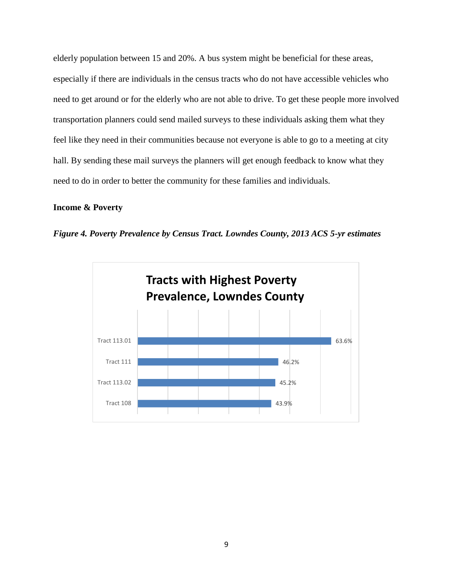elderly population between 15 and 20%. A bus system might be beneficial for these areas, especially if there are individuals in the census tracts who do not have accessible vehicles who need to get around or for the elderly who are not able to drive. To get these people more involved transportation planners could send mailed surveys to these individuals asking them what they feel like they need in their communities because not everyone is able to go to a meeting at city hall. By sending these mail surveys the planners will get enough feedback to know what they need to do in order to better the community for these families and individuals.

# **Income & Poverty**



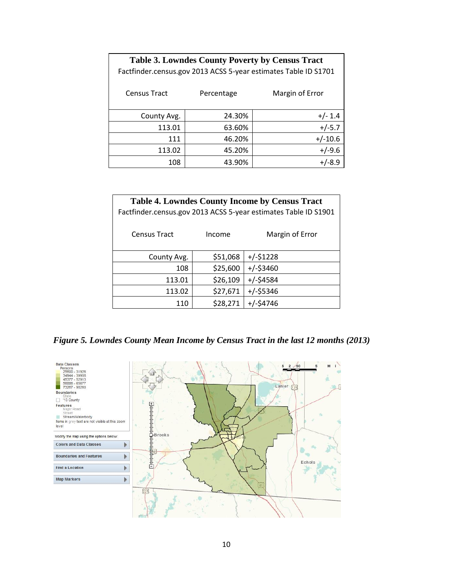| <b>Table 3. Lowndes County Poverty by Census Tract</b><br>Factfinder.census.gov 2013 ACSS 5-year estimates Table ID S1701 |        |           |  |  |
|---------------------------------------------------------------------------------------------------------------------------|--------|-----------|--|--|
| Margin of Error<br><b>Census Tract</b><br>Percentage                                                                      |        |           |  |  |
| County Avg.                                                                                                               | 24.30% | $+/- 1.4$ |  |  |
| 113.01                                                                                                                    | 63.60% | $+/-5.7$  |  |  |
| 111                                                                                                                       | 46.20% | $+/-10.6$ |  |  |
| 113.02                                                                                                                    | 45.20% | $+/-9.6$  |  |  |
| 108<br>43.90%                                                                                                             |        |           |  |  |

| <b>Table 4. Lowndes County Income by Census Tract</b><br>Factfinder.census.gov 2013 ACSS 5-year estimates Table ID S1901 |          |                 |  |  |
|--------------------------------------------------------------------------------------------------------------------------|----------|-----------------|--|--|
| <b>Census Tract</b>                                                                                                      | Income   | Margin of Error |  |  |
| County Avg.                                                                                                              | \$51,068 | $+/-$ \$1228    |  |  |
| 108                                                                                                                      | \$25,600 | $+/-$ \$3460    |  |  |
| 113.01                                                                                                                   | \$26,109 | $+/-$ \$4584    |  |  |
| 113.02                                                                                                                   | \$27,671 | $+/-$ \$5346    |  |  |
| 110                                                                                                                      | \$28,271 | $+/-54746$      |  |  |

*Figure 5. Lowndes County Mean Income by Census Tract in the last 12 months (2013)*

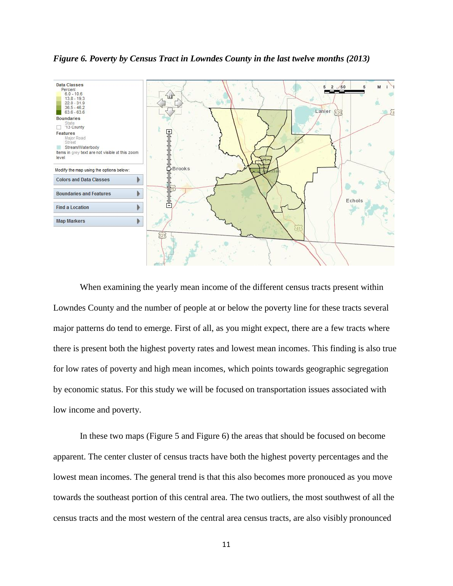

*Figure 6. Poverty by Census Tract in Lowndes County in the last twelve months (2013)*

When examining the yearly mean income of the different census tracts present within Lowndes County and the number of people at or below the poverty line for these tracts several major patterns do tend to emerge. First of all, as you might expect, there are a few tracts where there is present both the highest poverty rates and lowest mean incomes. This finding is also true for low rates of poverty and high mean incomes, which points towards geographic segregation by economic status. For this study we will be focused on transportation issues associated with low income and poverty.

In these two maps (Figure 5 and Figure 6) the areas that should be focused on become apparent. The center cluster of census tracts have both the highest poverty percentages and the lowest mean incomes. The general trend is that this also becomes more pronouced as you move towards the southeast portion of this central area. The two outliers, the most southwest of all the census tracts and the most western of the central area census tracts, are also visibly pronounced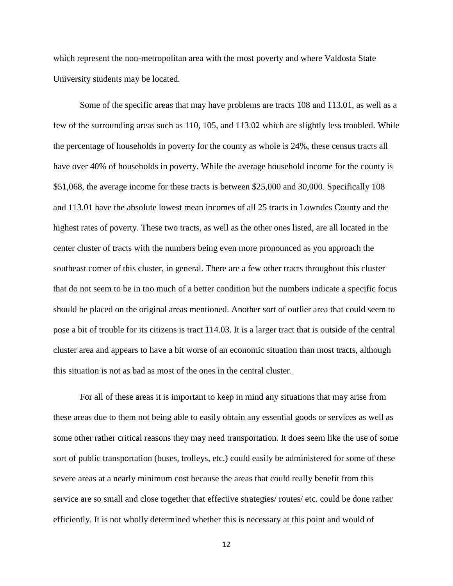which represent the non-metropolitan area with the most poverty and where Valdosta State University students may be located.

Some of the specific areas that may have problems are tracts 108 and 113.01, as well as a few of the surrounding areas such as 110, 105, and 113.02 which are slightly less troubled. While the percentage of households in poverty for the county as whole is 24%, these census tracts all have over 40% of households in poverty. While the average household income for the county is \$51,068, the average income for these tracts is between \$25,000 and 30,000. Specifically 108 and 113.01 have the absolute lowest mean incomes of all 25 tracts in Lowndes County and the highest rates of poverty. These two tracts, as well as the other ones listed, are all located in the center cluster of tracts with the numbers being even more pronounced as you approach the southeast corner of this cluster, in general. There are a few other tracts throughout this cluster that do not seem to be in too much of a better condition but the numbers indicate a specific focus should be placed on the original areas mentioned. Another sort of outlier area that could seem to pose a bit of trouble for its citizens is tract 114.03. It is a larger tract that is outside of the central cluster area and appears to have a bit worse of an economic situation than most tracts, although this situation is not as bad as most of the ones in the central cluster.

For all of these areas it is important to keep in mind any situations that may arise from these areas due to them not being able to easily obtain any essential goods or services as well as some other rather critical reasons they may need transportation. It does seem like the use of some sort of public transportation (buses, trolleys, etc.) could easily be administered for some of these severe areas at a nearly minimum cost because the areas that could really benefit from this service are so small and close together that effective strategies/ routes/ etc. could be done rather efficiently. It is not wholly determined whether this is necessary at this point and would of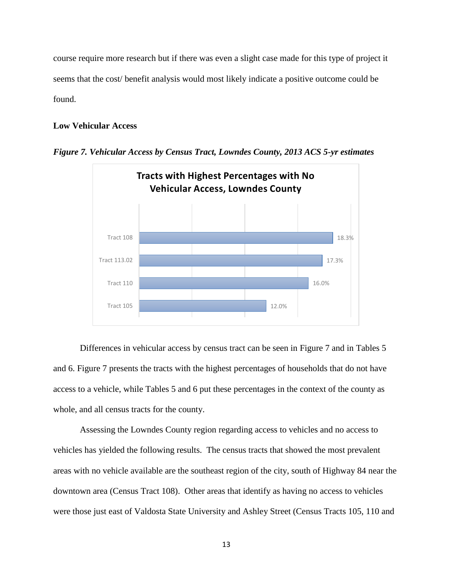course require more research but if there was even a slight case made for this type of project it seems that the cost/ benefit analysis would most likely indicate a positive outcome could be found.

### **Low Vehicular Access**



*Figure 7. Vehicular Access by Census Tract, Lowndes County, 2013 ACS 5-yr estimates*

Differences in vehicular access by census tract can be seen in Figure 7 and in Tables 5 and 6. Figure 7 presents the tracts with the highest percentages of households that do not have access to a vehicle, while Tables 5 and 6 put these percentages in the context of the county as whole, and all census tracts for the county.

Assessing the Lowndes County region regarding access to vehicles and no access to vehicles has yielded the following results. The census tracts that showed the most prevalent areas with no vehicle available are the southeast region of the city, south of Highway 84 near the downtown area (Census Tract 108). Other areas that identify as having no access to vehicles were those just east of Valdosta State University and Ashley Street (Census Tracts 105, 110 and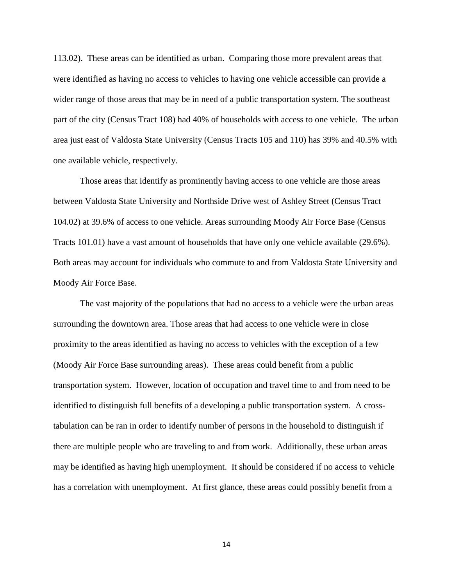113.02). These areas can be identified as urban. Comparing those more prevalent areas that were identified as having no access to vehicles to having one vehicle accessible can provide a wider range of those areas that may be in need of a public transportation system. The southeast part of the city (Census Tract 108) had 40% of households with access to one vehicle. The urban area just east of Valdosta State University (Census Tracts 105 and 110) has 39% and 40.5% with one available vehicle, respectively.

Those areas that identify as prominently having access to one vehicle are those areas between Valdosta State University and Northside Drive west of Ashley Street (Census Tract 104.02) at 39.6% of access to one vehicle. Areas surrounding Moody Air Force Base (Census Tracts 101.01) have a vast amount of households that have only one vehicle available (29.6%). Both areas may account for individuals who commute to and from Valdosta State University and Moody Air Force Base.

The vast majority of the populations that had no access to a vehicle were the urban areas surrounding the downtown area. Those areas that had access to one vehicle were in close proximity to the areas identified as having no access to vehicles with the exception of a few (Moody Air Force Base surrounding areas). These areas could benefit from a public transportation system. However, location of occupation and travel time to and from need to be identified to distinguish full benefits of a developing a public transportation system. A crosstabulation can be ran in order to identify number of persons in the household to distinguish if there are multiple people who are traveling to and from work. Additionally, these urban areas may be identified as having high unemployment. It should be considered if no access to vehicle has a correlation with unemployment. At first glance, these areas could possibly benefit from a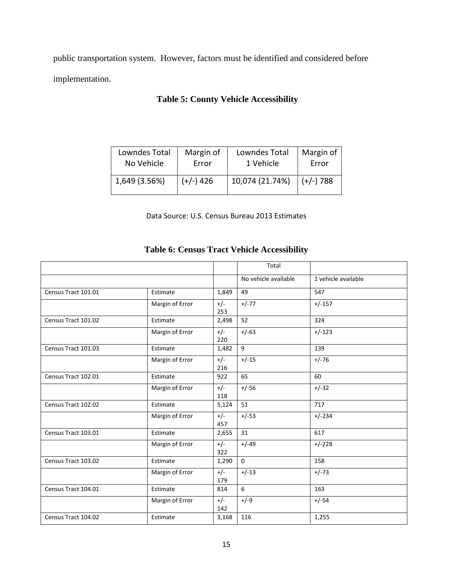public transportation system. However, factors must be identified and considered before implementation.

# **Table 5: County Vehicle Accessibility**

| Lowndes Total | Margin of   | Lowndes Total   | Margin of       |
|---------------|-------------|-----------------|-----------------|
| No Vehicle    | Error       | 1 Vehicle       | Error           |
| 1,649 (3.56%) | $(+/-)$ 426 | 10,074 (21.74%) | $(+)$ (+/-) 788 |

Data Source: U.S. Census Bureau 2013 Estimates

# **Table 6: Census Tract Vehicle Accessibility**

|                     |                 |              | Total                |                     |
|---------------------|-----------------|--------------|----------------------|---------------------|
|                     |                 |              | No vehicle available | 1 vehicle available |
| Census Tract 101.01 | Estimate        | 1,849        | 49                   | 547                 |
|                     | Margin of Error | $+/-$<br>253 | $+/-77$              | $+/-157$            |
| Census Tract 101.02 | Estimate        | 2,498        | 52                   | 324                 |
|                     | Margin of Error | $+/-$<br>220 | $+/-63$              | $+/-123$            |
| Census Tract 101.03 | Estimate        | 1,482        | 9                    | 139                 |
|                     | Margin of Error | $+/-$<br>216 | $+/-15$              | $+/-76$             |
| Census Tract 102.01 | Estimate        | 922          | 65                   | 60                  |
|                     | Margin of Error | $+/-$<br>118 | $+/-56$              | $+/-32$             |
| Census Tract 102.02 | Estimate        | 5,124        | 51                   | 717                 |
|                     | Margin of Error | $+/-$<br>457 | $+/-53$              | $+/-234$            |
| Census Tract 103.01 | Estimate        | 2,655        | 31                   | 617                 |
|                     | Margin of Error | $+/-$<br>322 | $+/-49$              | $+/-228$            |
| Census Tract 103.02 | Estimate        | 1,290        | $\Omega$             | 158                 |
|                     | Margin of Error | $+/-$<br>179 | $+/-13$              | $+/-73$             |
| Census Tract 104.01 | Estimate        | 814          | 6                    | 163                 |
|                     | Margin of Error | $+/-$<br>142 | $+/-9$               | $+/-54$             |
| Census Tract 104.02 | Estimate        | 3,168        | 116                  | 1,255               |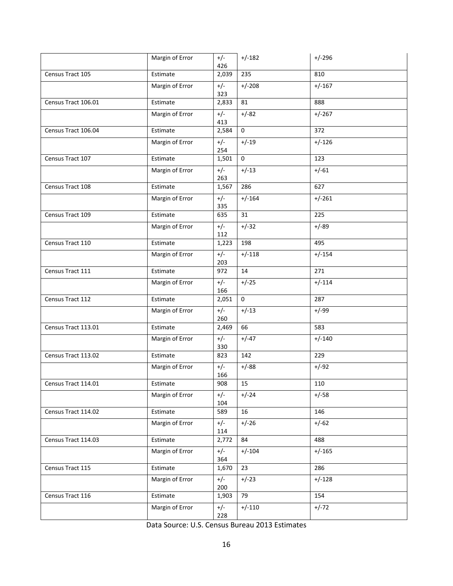|                     | Margin of Error | $+/-$<br>426 | $+/-182$     | $+/-296$ |
|---------------------|-----------------|--------------|--------------|----------|
| Census Tract 105    | Estimate        | 2,039        | 235          | 810      |
|                     | Margin of Error | $+/-$<br>323 | $+/-208$     | $+/-167$ |
| Census Tract 106.01 | Estimate        | 2,833        | 81           | 888      |
|                     | Margin of Error | $+/-$<br>413 | $+/-82$      | $+/-267$ |
| Census Tract 106.04 | Estimate        | 2,584        | $\mathbf 0$  | 372      |
|                     | Margin of Error | $+/-$<br>254 | $+/-19$      | $+/-126$ |
| Census Tract 107    | Estimate        | 1,501        | $\mathbf{0}$ | 123      |
|                     | Margin of Error | $+/-$<br>263 | $+/-13$      | $+/-61$  |
| Census Tract 108    | Estimate        | 1,567        | 286          | 627      |
|                     | Margin of Error | $+/-$<br>335 | $+/-164$     | $+/-261$ |
| Census Tract 109    | Estimate        | 635          | 31           | 225      |
|                     | Margin of Error | $+/-$<br>112 | $+/-32$      | $+/-89$  |
| Census Tract 110    | Estimate        | 1,223        | 198          | 495      |
|                     | Margin of Error | $+/-$<br>203 | $+/-118$     | $+/-154$ |
| Census Tract 111    | Estimate        | 972          | 14           | 271      |
|                     | Margin of Error | $+/-$<br>166 | $+/-25$      | $+/-114$ |
| Census Tract 112    | Estimate        | 2,051        | $\mathbf{0}$ | 287      |
|                     | Margin of Error | $+/-$<br>260 | $+/-13$      | $+/-99$  |
| Census Tract 113.01 | Estimate        | 2,469        | 66           | 583      |
|                     | Margin of Error | $+/-$<br>330 | $+/-47$      | $+/-140$ |
| Census Tract 113.02 | Estimate        | 823          | 142          | 229      |
|                     | Margin of Error | $+/-$<br>166 | $+/-88$      | $+/-92$  |
| Census Tract 114.01 | Estimate        | 908          | 15           | 110      |
|                     | Margin of Error | $+/-$<br>104 | $+/-24$      | $+/-58$  |
| Census Tract 114.02 | Estimate        | 589          | 16           | 146      |
|                     | Margin of Error | $+/-$<br>114 | $+/-26$      | $+/-62$  |
| Census Tract 114.03 | Estimate        | 2,772        | 84           | 488      |
|                     | Margin of Error | $+/-$<br>364 | $+/-104$     | $+/-165$ |
| Census Tract 115    | Estimate        | 1,670        | 23           | 286      |
|                     | Margin of Error | $+/-$<br>200 | $+/-23$      | $+/-128$ |
| Census Tract 116    | Estimate        | 1,903        | 79           | 154      |
|                     | Margin of Error | $+/-$<br>228 | $+/-110$     | $+/-72$  |

Data Source: U.S. Census Bureau 2013 Estimates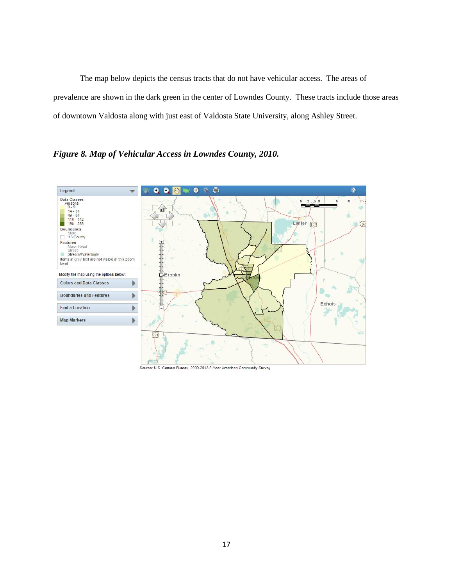The map below depicts the census tracts that do not have vehicular access. The areas of prevalence are shown in the dark green in the center of Lowndes County. These tracts include those areas of downtown Valdosta along with just east of Valdosta State University, along Ashley Street.

*Figure 8. Map of Vehicular Access in Lowndes County, 2010.* 



Source: U.S. Census Bureau, 2009-2013 5-Year American Community Survey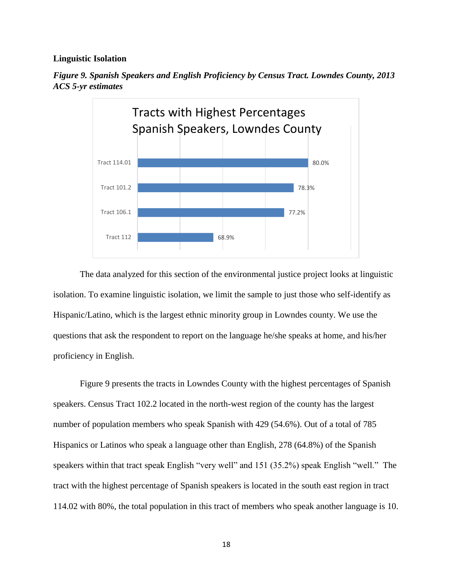### **Linguistic Isolation**



*Figure 9. Spanish Speakers and English Proficiency by Census Tract. Lowndes County, 2013 ACS 5-yr estimates*

The data analyzed for this section of the environmental justice project looks at linguistic isolation. To examine linguistic isolation, we limit the sample to just those who self-identify as Hispanic/Latino, which is the largest ethnic minority group in Lowndes county. We use the questions that ask the respondent to report on the language he/she speaks at home, and his/her proficiency in English.

Figure 9 presents the tracts in Lowndes County with the highest percentages of Spanish speakers. Census Tract 102.2 located in the north-west region of the county has the largest number of population members who speak Spanish with 429 (54.6%). Out of a total of 785 Hispanics or Latinos who speak a language other than English, 278 (64.8%) of the Spanish speakers within that tract speak English "very well" and 151 (35.2%) speak English "well." The tract with the highest percentage of Spanish speakers is located in the south east region in tract 114.02 with 80%, the total population in this tract of members who speak another language is 10.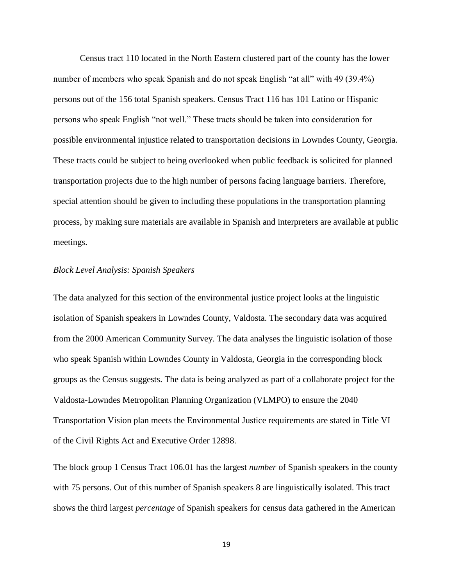Census tract 110 located in the North Eastern clustered part of the county has the lower number of members who speak Spanish and do not speak English "at all" with 49 (39.4%) persons out of the 156 total Spanish speakers. Census Tract 116 has 101 Latino or Hispanic persons who speak English "not well." These tracts should be taken into consideration for possible environmental injustice related to transportation decisions in Lowndes County, Georgia. These tracts could be subject to being overlooked when public feedback is solicited for planned transportation projects due to the high number of persons facing language barriers. Therefore, special attention should be given to including these populations in the transportation planning process, by making sure materials are available in Spanish and interpreters are available at public meetings.

## *Block Level Analysis: Spanish Speakers*

The data analyzed for this section of the environmental justice project looks at the linguistic isolation of Spanish speakers in Lowndes County, Valdosta. The secondary data was acquired from the 2000 American Community Survey. The data analyses the linguistic isolation of those who speak Spanish within Lowndes County in Valdosta, Georgia in the corresponding block groups as the Census suggests. The data is being analyzed as part of a collaborate project for the Valdosta-Lowndes Metropolitan Planning Organization (VLMPO) to ensure the 2040 Transportation Vision plan meets the Environmental Justice requirements are stated in Title VI of the Civil Rights Act and Executive Order 12898.

The block group 1 Census Tract 106.01 has the largest *number* of Spanish speakers in the county with 75 persons. Out of this number of Spanish speakers 8 are linguistically isolated. This tract shows the third largest *percentage* of Spanish speakers for census data gathered in the American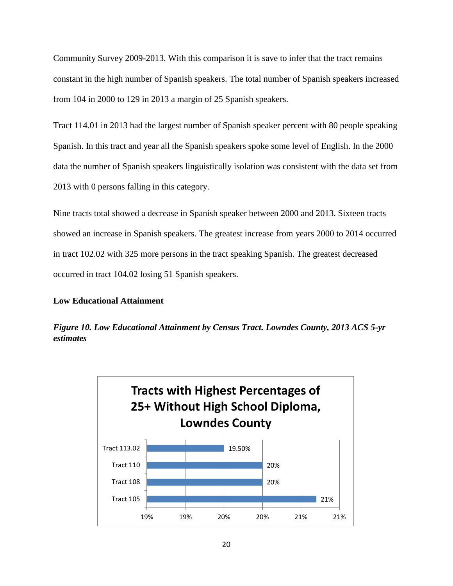Community Survey 2009-2013. With this comparison it is save to infer that the tract remains constant in the high number of Spanish speakers. The total number of Spanish speakers increased from 104 in 2000 to 129 in 2013 a margin of 25 Spanish speakers.

Tract 114.01 in 2013 had the largest number of Spanish speaker percent with 80 people speaking Spanish. In this tract and year all the Spanish speakers spoke some level of English. In the 2000 data the number of Spanish speakers linguistically isolation was consistent with the data set from 2013 with 0 persons falling in this category.

Nine tracts total showed a decrease in Spanish speaker between 2000 and 2013. Sixteen tracts showed an increase in Spanish speakers. The greatest increase from years 2000 to 2014 occurred in tract 102.02 with 325 more persons in the tract speaking Spanish. The greatest decreased occurred in tract 104.02 losing 51 Spanish speakers.

# **Low Educational Attainment**



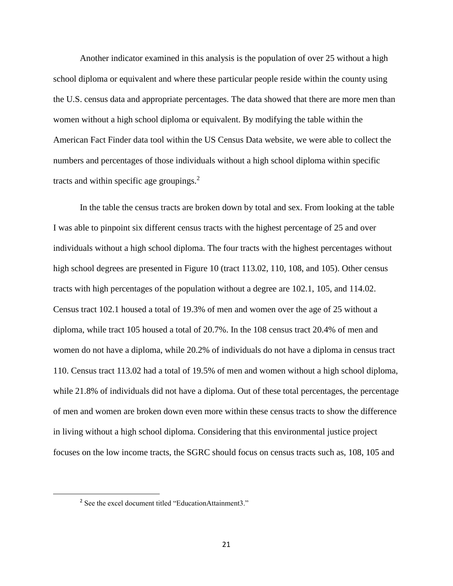Another indicator examined in this analysis is the population of over 25 without a high school diploma or equivalent and where these particular people reside within the county using the U.S. census data and appropriate percentages. The data showed that there are more men than women without a high school diploma or equivalent. By modifying the table within the American Fact Finder data tool within the US Census Data website, we were able to collect the numbers and percentages of those individuals without a high school diploma within specific tracts and within specific age groupings. $2$ 

In the table the census tracts are broken down by total and sex. From looking at the table I was able to pinpoint six different census tracts with the highest percentage of 25 and over individuals without a high school diploma. The four tracts with the highest percentages without high school degrees are presented in Figure 10 (tract 113.02, 110, 108, and 105). Other census tracts with high percentages of the population without a degree are 102.1, 105, and 114.02. Census tract 102.1 housed a total of 19.3% of men and women over the age of 25 without a diploma, while tract 105 housed a total of 20.7%. In the 108 census tract 20.4% of men and women do not have a diploma, while 20.2% of individuals do not have a diploma in census tract 110. Census tract 113.02 had a total of 19.5% of men and women without a high school diploma, while 21.8% of individuals did not have a diploma. Out of these total percentages, the percentage of men and women are broken down even more within these census tracts to show the difference in living without a high school diploma. Considering that this environmental justice project focuses on the low income tracts, the SGRC should focus on census tracts such as, 108, 105 and

 $\overline{\phantom{a}}$ 

<sup>2</sup> See the excel document titled "EducationAttainment3."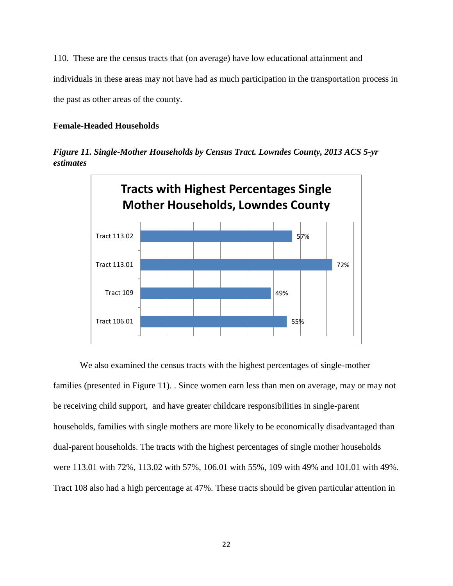110. These are the census tracts that (on average) have low educational attainment and individuals in these areas may not have had as much participation in the transportation process in the past as other areas of the county.

## **Female-Headed Households**

*Figure 11. Single-Mother Households by Census Tract. Lowndes County, 2013 ACS 5-yr estimates*



We also examined the census tracts with the highest percentages of single-mother families (presented in Figure 11). . Since women earn less than men on average, may or may not be receiving child support, and have greater childcare responsibilities in single-parent households, families with single mothers are more likely to be economically disadvantaged than dual-parent households. The tracts with the highest percentages of single mother households were 113.01 with 72%, 113.02 with 57%, 106.01 with 55%, 109 with 49% and 101.01 with 49%. Tract 108 also had a high percentage at 47%. These tracts should be given particular attention in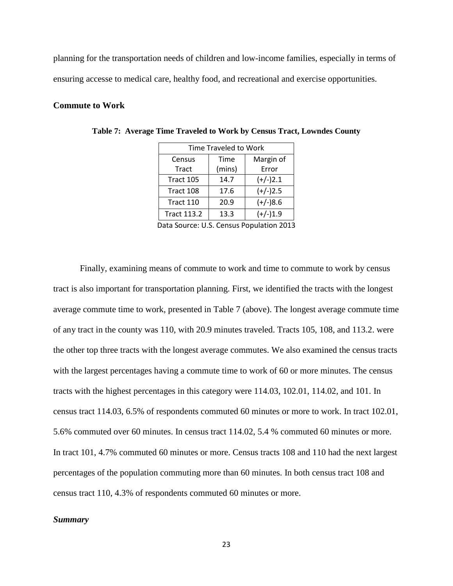planning for the transportation needs of children and low-income families, especially in terms of ensuring accesse to medical care, healthy food, and recreational and exercise opportunities.

### **Commute to Work**

| Time Traveled to Work |        |            |  |  |
|-----------------------|--------|------------|--|--|
| Census                | Time   | Margin of  |  |  |
| <b>Tract</b>          | (mins) | Error      |  |  |
| Tract 105             | 14.7   | $(+/-)2.1$ |  |  |
| Tract 108             | 17.6   | $(+/-)2.5$ |  |  |
| Tract 110             | 20.9   | $(+/-)8.6$ |  |  |
| <b>Tract 113.2</b>    | 13.3   | $(+/-)1.9$ |  |  |

**Table 7: Average Time Traveled to Work by Census Tract, Lowndes County**

Data Source: U.S. Census Population 2013

Finally, examining means of commute to work and time to commute to work by census tract is also important for transportation planning. First, we identified the tracts with the longest average commute time to work, presented in Table 7 (above). The longest average commute time of any tract in the county was 110, with 20.9 minutes traveled. Tracts 105, 108, and 113.2. were the other top three tracts with the longest average commutes. We also examined the census tracts with the largest percentages having a commute time to work of 60 or more minutes. The census tracts with the highest percentages in this category were 114.03, 102.01, 114.02, and 101. In census tract 114.03, 6.5% of respondents commuted 60 minutes or more to work. In tract 102.01, 5.6% commuted over 60 minutes. In census tract 114.02, 5.4 % commuted 60 minutes or more. In tract 101, 4.7% commuted 60 minutes or more. Census tracts 108 and 110 had the next largest percentages of the population commuting more than 60 minutes. In both census tract 108 and census tract 110, 4.3% of respondents commuted 60 minutes or more.

#### *Summary*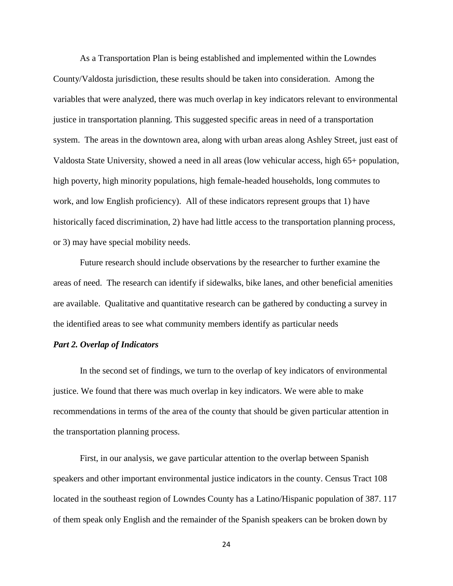As a Transportation Plan is being established and implemented within the Lowndes County/Valdosta jurisdiction, these results should be taken into consideration. Among the variables that were analyzed, there was much overlap in key indicators relevant to environmental justice in transportation planning. This suggested specific areas in need of a transportation system. The areas in the downtown area, along with urban areas along Ashley Street, just east of Valdosta State University, showed a need in all areas (low vehicular access, high 65+ population, high poverty, high minority populations, high female-headed households, long commutes to work, and low English proficiency). All of these indicators represent groups that 1) have historically faced discrimination, 2) have had little access to the transportation planning process, or 3) may have special mobility needs.

Future research should include observations by the researcher to further examine the areas of need. The research can identify if sidewalks, bike lanes, and other beneficial amenities are available. Qualitative and quantitative research can be gathered by conducting a survey in the identified areas to see what community members identify as particular needs

## *Part 2. Overlap of Indicators*

In the second set of findings, we turn to the overlap of key indicators of environmental justice. We found that there was much overlap in key indicators. We were able to make recommendations in terms of the area of the county that should be given particular attention in the transportation planning process.

First, in our analysis, we gave particular attention to the overlap between Spanish speakers and other important environmental justice indicators in the county. Census Tract 108 located in the southeast region of Lowndes County has a Latino/Hispanic population of 387. 117 of them speak only English and the remainder of the Spanish speakers can be broken down by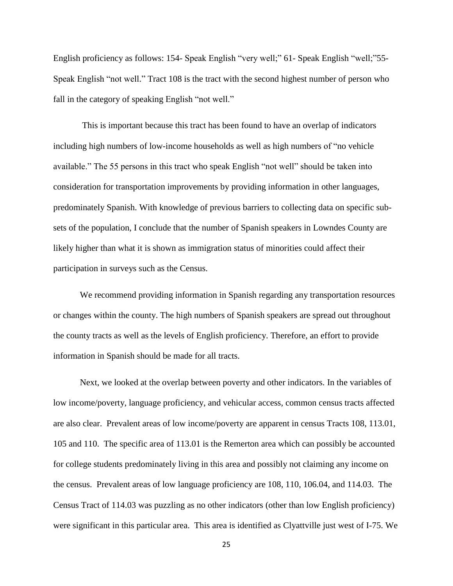English proficiency as follows: 154- Speak English "very well;" 61- Speak English "well;"55- Speak English "not well." Tract 108 is the tract with the second highest number of person who fall in the category of speaking English "not well."

This is important because this tract has been found to have an overlap of indicators including high numbers of low-income households as well as high numbers of "no vehicle available." The 55 persons in this tract who speak English "not well" should be taken into consideration for transportation improvements by providing information in other languages, predominately Spanish. With knowledge of previous barriers to collecting data on specific subsets of the population, I conclude that the number of Spanish speakers in Lowndes County are likely higher than what it is shown as immigration status of minorities could affect their participation in surveys such as the Census.

We recommend providing information in Spanish regarding any transportation resources or changes within the county. The high numbers of Spanish speakers are spread out throughout the county tracts as well as the levels of English proficiency. Therefore, an effort to provide information in Spanish should be made for all tracts.

Next, we looked at the overlap between poverty and other indicators. In the variables of low income/poverty, language proficiency, and vehicular access, common census tracts affected are also clear. Prevalent areas of low income/poverty are apparent in census Tracts 108, 113.01, 105 and 110. The specific area of 113.01 is the Remerton area which can possibly be accounted for college students predominately living in this area and possibly not claiming any income on the census. Prevalent areas of low language proficiency are 108, 110, 106.04, and 114.03. The Census Tract of 114.03 was puzzling as no other indicators (other than low English proficiency) were significant in this particular area. This area is identified as Clyattville just west of I-75. We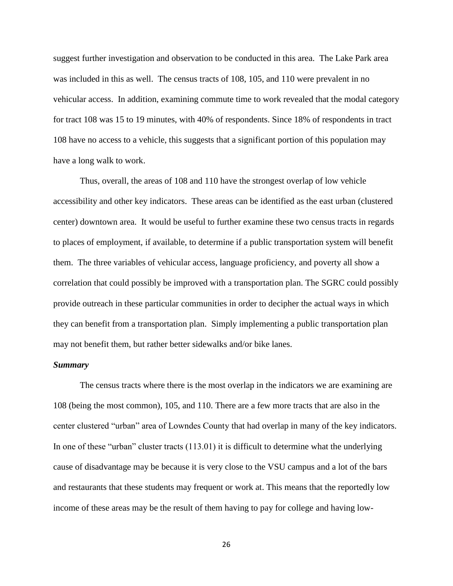suggest further investigation and observation to be conducted in this area. The Lake Park area was included in this as well. The census tracts of 108, 105, and 110 were prevalent in no vehicular access. In addition, examining commute time to work revealed that the modal category for tract 108 was 15 to 19 minutes, with 40% of respondents. Since 18% of respondents in tract 108 have no access to a vehicle, this suggests that a significant portion of this population may have a long walk to work.

Thus, overall, the areas of 108 and 110 have the strongest overlap of low vehicle accessibility and other key indicators. These areas can be identified as the east urban (clustered center) downtown area. It would be useful to further examine these two census tracts in regards to places of employment, if available, to determine if a public transportation system will benefit them. The three variables of vehicular access, language proficiency, and poverty all show a correlation that could possibly be improved with a transportation plan. The SGRC could possibly provide outreach in these particular communities in order to decipher the actual ways in which they can benefit from a transportation plan. Simply implementing a public transportation plan may not benefit them, but rather better sidewalks and/or bike lanes.

### *Summary*

The census tracts where there is the most overlap in the indicators we are examining are 108 (being the most common), 105, and 110. There are a few more tracts that are also in the center clustered "urban" area of Lowndes County that had overlap in many of the key indicators. In one of these "urban" cluster tracts (113.01) it is difficult to determine what the underlying cause of disadvantage may be because it is very close to the VSU campus and a lot of the bars and restaurants that these students may frequent or work at. This means that the reportedly low income of these areas may be the result of them having to pay for college and having low-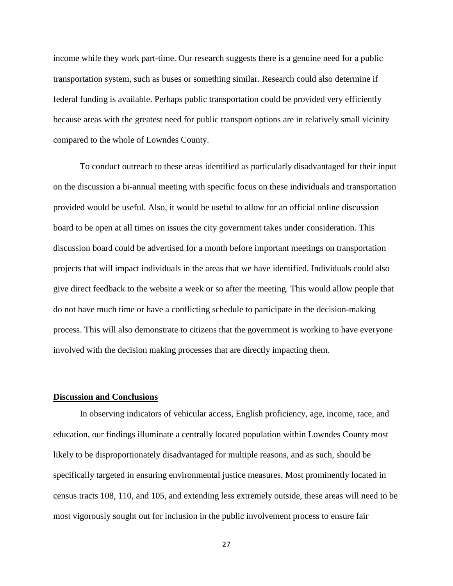income while they work part-time. Our research suggests there is a genuine need for a public transportation system, such as buses or something similar. Research could also determine if federal funding is available. Perhaps public transportation could be provided very efficiently because areas with the greatest need for public transport options are in relatively small vicinity compared to the whole of Lowndes County.

To conduct outreach to these areas identified as particularly disadvantaged for their input on the discussion a bi-annual meeting with specific focus on these individuals and transportation provided would be useful. Also, it would be useful to allow for an official online discussion board to be open at all times on issues the city government takes under consideration. This discussion board could be advertised for a month before important meetings on transportation projects that will impact individuals in the areas that we have identified. Individuals could also give direct feedback to the website a week or so after the meeting. This would allow people that do not have much time or have a conflicting schedule to participate in the decision-making process. This will also demonstrate to citizens that the government is working to have everyone involved with the decision making processes that are directly impacting them.

### **Discussion and Conclusions**

In observing indicators of vehicular access, English proficiency, age, income, race, and education, our findings illuminate a centrally located population within Lowndes County most likely to be disproportionately disadvantaged for multiple reasons, and as such, should be specifically targeted in ensuring environmental justice measures. Most prominently located in census tracts 108, 110, and 105, and extending less extremely outside, these areas will need to be most vigorously sought out for inclusion in the public involvement process to ensure fair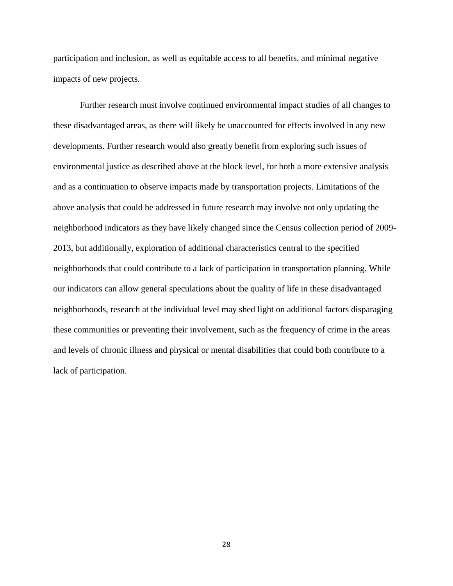participation and inclusion, as well as equitable access to all benefits, and minimal negative impacts of new projects.

Further research must involve continued environmental impact studies of all changes to these disadvantaged areas, as there will likely be unaccounted for effects involved in any new developments. Further research would also greatly benefit from exploring such issues of environmental justice as described above at the block level, for both a more extensive analysis and as a continuation to observe impacts made by transportation projects. Limitations of the above analysis that could be addressed in future research may involve not only updating the neighborhood indicators as they have likely changed since the Census collection period of 2009- 2013, but additionally, exploration of additional characteristics central to the specified neighborhoods that could contribute to a lack of participation in transportation planning. While our indicators can allow general speculations about the quality of life in these disadvantaged neighborhoods, research at the individual level may shed light on additional factors disparaging these communities or preventing their involvement, such as the frequency of crime in the areas and levels of chronic illness and physical or mental disabilities that could both contribute to a lack of participation.